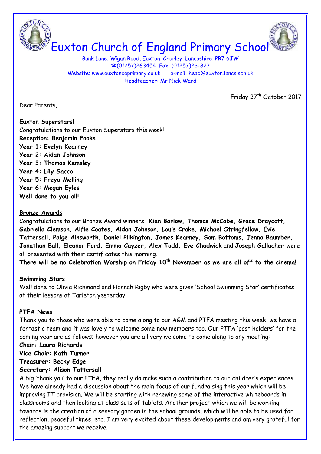

Bank Lane, Wigan Road, Euxton, Chorley, Lancashire, PR7 6JW (01257)263454 Fax: (01257)231827 Website: www.euxtonceprimary.co.uk e-mail: [head@euxton.lancs.sch.uk](mailto:head@euxton.lancs.sch.uk) Headteacher: Mr Nick Ward

Friday 27<sup>th</sup> October 2017

Dear Parents,

# **Euxton Superstars!**

Congratulations to our Euxton Superstars this week! **Reception: Benjamin Fooks Year 1: Evelyn Kearney Year 2: Aidan Johnson Year 3: Thomas Kemsley Year 4: Lily Sacco Year 5: Freya Melling Year 6: Megan Eyles Well done to you all!**

# **Bronze Awards**

Congratulations to our Bronze Award winners. **Kian Barlow, Thomas McCabe, Grace Draycott, Gabriella Clemson, Alfie Coates, Aidan Johnson, Louis Crake, Michael Stringfellow, Evie Tattersall, Paige Ainsworth, Daniel Pilkington, James Kearney, Sam Bottoms, Jenna Baumber, Jonathan Ball, Eleanor Ford, Emma Cayzer, Alex Todd, Eve Chadwick** and **Joseph Gallacher** were all presented with their certificates this morning.

**There will be no Celebration Worship on Friday 10th November as we are all off to the cinema!**

# **Swimming Stars**

Well done to Olivia Richmond and Hannah Rigby who were given 'School Swimming Star' certificates at their lessons at Tarleton yesterday!

# **PTFA News**

Thank you to those who were able to come along to our AGM and PTFA meeting this week, we have a fantastic team and it was lovely to welcome some new members too. Our PTFA 'post holders' for the coming year are as follows; however you are all very welcome to come along to any meeting:

# **Chair: Laura Richards**

**Vice Chair: Kath Turner**

**Treasurer: Becky Edge**

#### **Secretary: Alison Tattersall**

A big 'thank you' to our PTFA, they really do make such a contribution to our children's experiences. We have already had a discussion about the main focus of our fundraising this year which will be improving IT provision. We will be starting with renewing some of the interactive whiteboards in classrooms and then looking at class sets of tablets. Another project which we will be working towards is the creation of a sensory garden in the school grounds, which will be able to be used for reflection, peaceful times, etc. I am very excited about these developments and am very grateful for the amazing support we receive.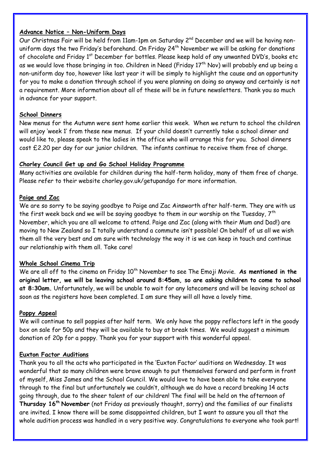## **Advance Notice – Non-Uniform Days**

Our Christmas Fair will be held from 11am-1pm on Saturday 2<sup>nd</sup> December and we will be having nonuniform days the two Friday's beforehand. On Friday  $24<sup>th</sup>$  November we will be asking for donations of chocolate and Friday 1<sup>st</sup> December for bottles. Please keep hold of any unwanted DVD's, books etc as we would love those bringing in too. Children in Need (Friday  $17<sup>th</sup>$  Nov) will probably end up being a non-uniform day too, however like last year it will be simply to highlight the cause and an opportunity for you to make a donation through school if you were planning on doing so anyway and certainly is not a requirement. More information about all of these will be in future newsletters. Thank you so much in advance for your support.

# **School Dinners**

New menus for the Autumn were sent home earlier this week. When we return to school the children will enjoy 'week 1' from these new menus. If your child doesn't currently take a school dinner and would like to, please speak to the ladies in the office who will arrange this for you. School dinners cost £2.20 per day for our junior children. The infants continue to receive them free of charge.

## **Chorley Council Get up and Go School Holiday Programme**

Many activities are available for children during the half-term holiday, many of them free of charge. Please refer to their website chorley.gov.uk/getupandgo for more information.

## **Paige and Zac**

We are so sorry to be saying goodbye to Paige and Zac Ainsworth after half-term. They are with us the first week back and we will be saying goodbye to them in our worship on the Tuesday,  $7<sup>th</sup>$ November, which you are all welcome to attend. Paige and Zac (along with their Mum and Dad!) are moving to New Zealand so I totally understand a commute isn't possible! On behalf of us all we wish them all the very best and am sure with technology the way it is we can keep in touch and continue our relationship with them all. Take care!

#### **Whole School Cinema Trip**

We are all off to the cinema on Friday 10<sup>th</sup> November to see The Emoji Movie. As mentioned in the **original letter, we will be leaving school around 8:45am, so are asking children to come to school at 8:30am.** Unfortunately, we will be unable to wait for any latecomers and will be leaving school as soon as the registers have been completed. I am sure they will all have a lovely time.

# **Poppy Appeal**

We will continue to sell poppies after half term. We only have the poppy reflectors left in the goody box on sale for 50p and they will be available to buy at break times. We would suggest a minimum donation of 20p for a poppy. Thank you for your support with this wonderful appeal.

#### **Euxton Factor Auditions**

Thank you to all the acts who participated in the 'Euxton Factor' auditions on Wednesday. It was wonderful that so many children were brave enough to put themselves forward and perform in front of myself, Miss James and the School Council. We would love to have been able to take everyone through to the final but unfortunately we couldn't, although we do have a record breaking 14 acts going through, due to the sheer talent of our children! The final will be held on the afternoon of **Thursday 16th November** (not Friday as previously thought, sorry) and the families of our finalists are invited. I know there will be some disappointed children, but I want to assure you all that the whole audition process was handled in a very positive way. Congratulations to everyone who took part!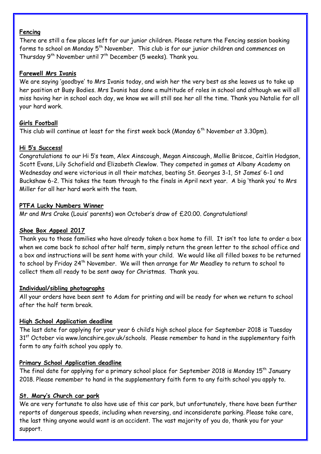## **Fencing**

There are still a few places left for our junior children. Please return the Fencing session booking forms to school on Monday 5<sup>th</sup> November. This club is for our junior children and commences on Thursday  $9^{th}$  November until  $7^{th}$  December (5 weeks). Thank you.

# **Farewell Mrs Ivanis**

We are saying 'goodbye' to Mrs Ivanis today, and wish her the very best as she leaves us to take up her position at Busy Bodies. Mrs Ivanis has done a multitude of roles in school and although we will all miss having her in school each day, we know we will still see her all the time. Thank you Natalie for all your hard work.

# **Girls Football**

This club will continue at least for the first week back (Monday  $6<sup>th</sup>$  November at 3.30pm).

# **Hi 5's Success!**

Congratulations to our Hi 5's team, Alex Ainscough, Megan Ainscough, Mollie Briscoe, Caitlin Hodgson, Scott Evans, Lily Schofield and Elizabeth Clewlow. They competed in games at Albany Academy on Wednesday and were victorious in all their matches, beating St. Georges 3-1, St James' 6-1 and Buckshaw 6-2. This takes the team through to the finals in April next year. A big 'thank you' to Mrs Miller for all her hard work with the team.

## **PTFA Lucky Numbers Winner**

Mr and Mrs Crake (Louis' parents) won October's draw of £20.00. Congratulations!

# **Shoe Box Appeal 2017**

Thank you to those families who have already taken a box home to fill. It isn't too late to order a box when we come back to school after half term, simply return the green letter to the school office and a box and instructions will be sent home with your child. We would like all filled boxes to be returned to school by Friday 24th November. We will then arrange for Mr Meadley to return to school to collect them all ready to be sent away for Christmas. Thank you.

#### **Individual/sibling photographs**

All your orders have been sent to Adam for printing and will be ready for when we return to school after the half term break.

#### **High School Application deadline**

The last date for applying for your year 6 child's high school place for September 2018 is Tuesday 31<sup>st</sup> October via [www.lancshire.gov.uk/schools.](http://www.lancshire.gov.uk/schools) Please remember to hand in the supplementary faith form to any faith school you apply to.

#### **Primary School Application deadline**

The final date for applying for a primary school place for September 2018 is Monday  $15<sup>th</sup>$  January 2018. Please remember to hand in the supplementary faith form to any faith school you apply to.

#### **St. Mary's Church car park**

We are very fortunate to also have use of this car park, but unfortunately, there have been further reports of dangerous speeds, including when reversing, and inconsiderate parking. Please take care, the last thing anyone would want is an accident. The vast majority of you do, thank you for your support.